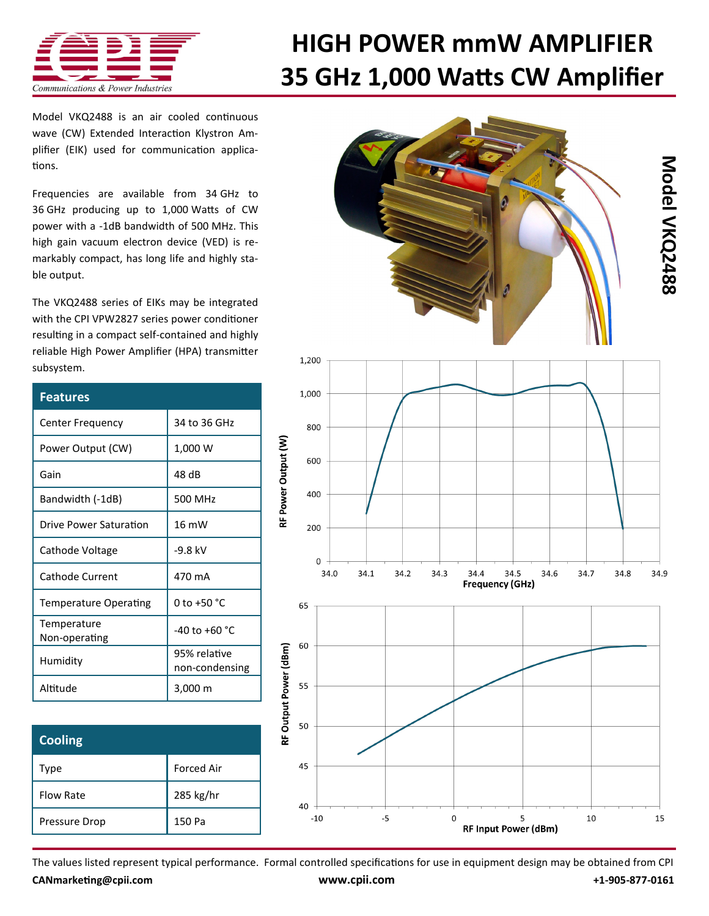

## **[HIGH POWER mmW AMPLIFIER](http://www.cpii.com/product.cfm/7/40/218) 35 GHz 1,000 Watts CW Amplifier**

Model VKQ2488 is an air cooled [continuous](C:/My Documents/Adobe)  [wave \(CW\) Extended Interaction Klystron Am](C:/My Documents/Adobe)[plifier \(EIK\) u](C:/My Documents/Adobe)sed for communication applications.

Frequencies are available from 34 GHz to 36 GHz producing up to 1,000 Watts of CW power with a -1dB bandwidth of 500 MHz. This high gain vacuum electron device (VED) is remarkably compact, has long life and highly stable output.

The VKQ2488 series of EIKs may be integrated with the CPI [VPW2827 series power conditioner](http://www.cpii.com/product.cfm/7/40/281)  resulting in a compact self-contained and highly reliable High Power Amplifier (HPA) transmitter subsystem.

| <b>Features</b>              |                                |
|------------------------------|--------------------------------|
| <b>Center Frequency</b>      | 34 to 36 GHz                   |
| Power Output (CW)            | 1,000 W                        |
| Gain                         | 48 dB                          |
| Bandwidth (-1dB)             | 500 MHz                        |
| Drive Power Saturation       | 16 mW                          |
| Cathode Voltage              | -9.8 kV                        |
| Cathode Current              | 470 mA                         |
| <b>Temperature Operating</b> | 0 to +50 $^{\circ}$ C          |
| Temperature<br>Non-operating | $-40$ to $+60$ °C              |
| Humidity                     | 95% relative<br>non-condensing |
| Altitude                     | 3,000 m                        |

| <b>Cooling</b>   |                   |
|------------------|-------------------|
| Type             | <b>Forced Air</b> |
| <b>Flow Rate</b> | 285 kg/hr         |
| Pressure Drop    | 150 Pa            |



The values listed represent typical performance. Formal controlled specifications for use in equipment design may be obtained from CPI **[CANmarketing@cpii.com](mailto:CANmarketing@cpii.com) [www.cpii.com](http://www.cpii.com) +1-905-877-0161**